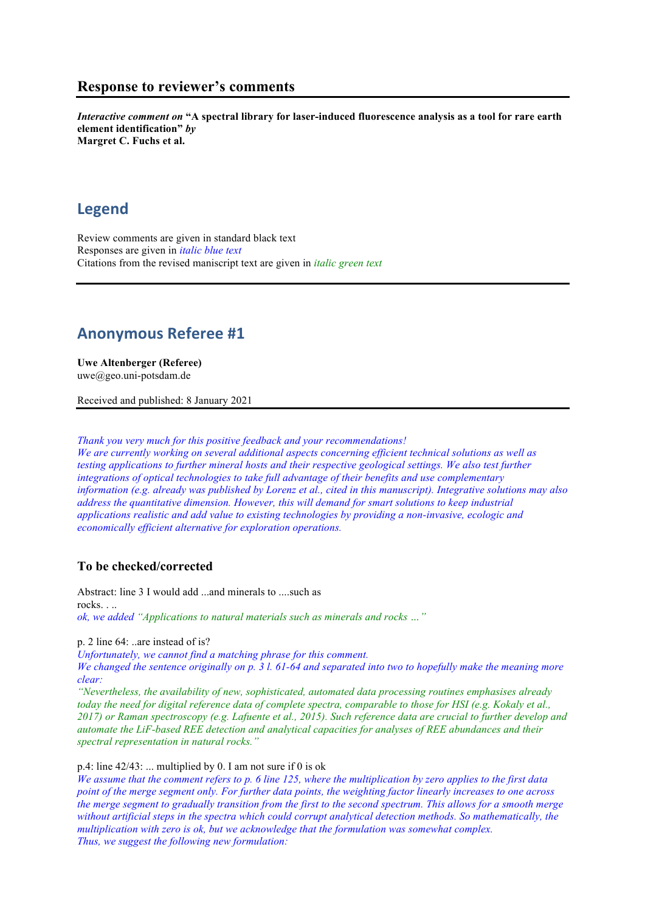## **Response to reviewer's comments**

*Interactive comment on* **"A spectral library for laser-induced fluorescence analysis as a tool for rare earth element identification"** *by* **Margret C. Fuchs et al.**

# **Legend**

Review comments are given in standard black text Responses are given in *italic blue text* Citations from the revised maniscript text are given in *italic green text*

# **Anonymous Referee #1**

**Uwe Altenberger (Referee)** uwe@geo.uni-potsdam.de

Received and published: 8 January 2021

*Thank you very much for this positive feedback and your recommendations! We are currently working on several additional aspects concerning efficient technical solutions as well as testing applications to further mineral hosts and their respective geological settings. We also test further integrations of optical technologies to take full advantage of their benefits and use complementary information (e.g. already was published by Lorenz et al., cited in this manuscript). Integrative solutions may also address the quantitative dimension. However, this will demand for smart solutions to keep industrial applications realistic and add value to existing technologies by providing a non-invasive, ecologic and economically efficient alternative for exploration operations.*

## **To be checked/corrected**

Abstract: line 3 I would add ...and minerals to ....such as rocks. *ok, we added "Applications to natural materials such as minerals and rocks …"*

p. 2 line 64: ..are instead of is?

*Unfortunately, we cannot find a matching phrase for this comment.*

*We changed the sentence originally on p. 3 l. 61-64 and separated into two to hopefully make the meaning more clear:*

*"Nevertheless, the availability of new, sophisticated, automated data processing routines emphasises already today the need for digital reference data of complete spectra, comparable to those for HSI (e.g. Kokaly et al., 2017) or Raman spectroscopy (e.g. Lafuente et al., 2015). Such reference data are crucial to further develop and automate the LiF-based REE detection and analytical capacities for analyses of REE abundances and their spectral representation in natural rocks."*

#### p.4: line  $42/43$ : ... multiplied by 0. I am not sure if 0 is ok

*We assume that the comment refers to p. 6 line 125, where the multiplication by zero applies to the first data point of the merge segment only. For further data points, the weighting factor linearly increases to one across the merge segment to gradually transition from the first to the second spectrum. This allows for a smooth merge without artificial steps in the spectra which could corrupt analytical detection methods. So mathematically, the multiplication with zero is ok, but we acknowledge that the formulation was somewhat complex. Thus, we suggest the following new formulation:*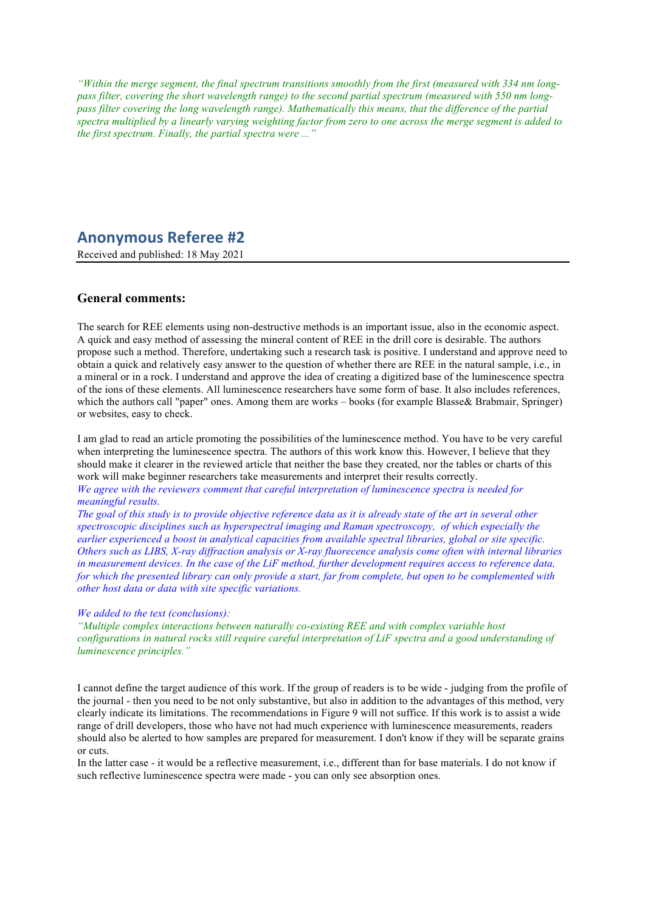*"Within the merge segment, the final spectrum transitions smoothly from the first (measured with 334 nm longpass filter, covering the short wavelength range) to the second partial spectrum (measured with 550 nm longpass filter covering the long wavelength range). Mathematically this means, that the difference of the partial spectra multiplied by a linearly varying weighting factor from zero to one across the merge segment is added to the first spectrum. Finally, the partial spectra were ..."*

# **Anonymous Referee #2**

Received and published: 18 May 2021

### **General comments:**

The search for REE elements using non-destructive methods is an important issue, also in the economic aspect. A quick and easy method of assessing the mineral content of REE in the drill core is desirable. The authors propose such a method. Therefore, undertaking such a research task is positive. I understand and approve need to obtain a quick and relatively easy answer to the question of whether there are REE in the natural sample, i.e., in a mineral or in a rock. I understand and approve the idea of creating a digitized base of the luminescence spectra of the ions of these elements. All luminescence researchers have some form of base. It also includes references, which the authors call "paper" ones. Among them are works – books (for example Blasse & Brabmair, Springer) or websites, easy to check.

I am glad to read an article promoting the possibilities of the luminescence method. You have to be very careful when interpreting the luminescence spectra. The authors of this work know this. However, I believe that they should make it clearer in the reviewed article that neither the base they created, nor the tables or charts of this work will make beginner researchers take measurements and interpret their results correctly.

#### *We agree with the reviewers comment that careful interpretation of luminescence spectra is needed for meaningful results.*

*The goal of this study is to provide objective reference data as it is already state of the art in several other spectroscopic disciplines such as hyperspectral imaging and Raman spectroscopy, of which especially the earlier experienced a boost in analytical capacities from available spectral libraries, global or site specific. Others such as LIBS, X-ray diffraction analysis or X-ray fluorecence analysis come often with internal libraries in measurement devices. In the case of the LiF method, further development requires access to reference data, for which the presented library can only provide a start, far from complete, but open to be complemented with other host data or data with site specific variations.*

#### *We added to the text (conclusions):*

*"Multiple complex interactions between naturally co-existing REE and with complex variable host configurations in natural rocks still require careful interpretation of LiF spectra and a good understanding of luminescence principles."*

I cannot define the target audience of this work. If the group of readers is to be wide - judging from the profile of the journal - then you need to be not only substantive, but also in addition to the advantages of this method, very clearly indicate its limitations. The recommendations in Figure 9 will not suffice. If this work is to assist a wide range of drill developers, those who have not had much experience with luminescence measurements, readers should also be alerted to how samples are prepared for measurement. I don't know if they will be separate grains or cuts.

In the latter case - it would be a reflective measurement, i.e., different than for base materials. I do not know if such reflective luminescence spectra were made - you can only see absorption ones.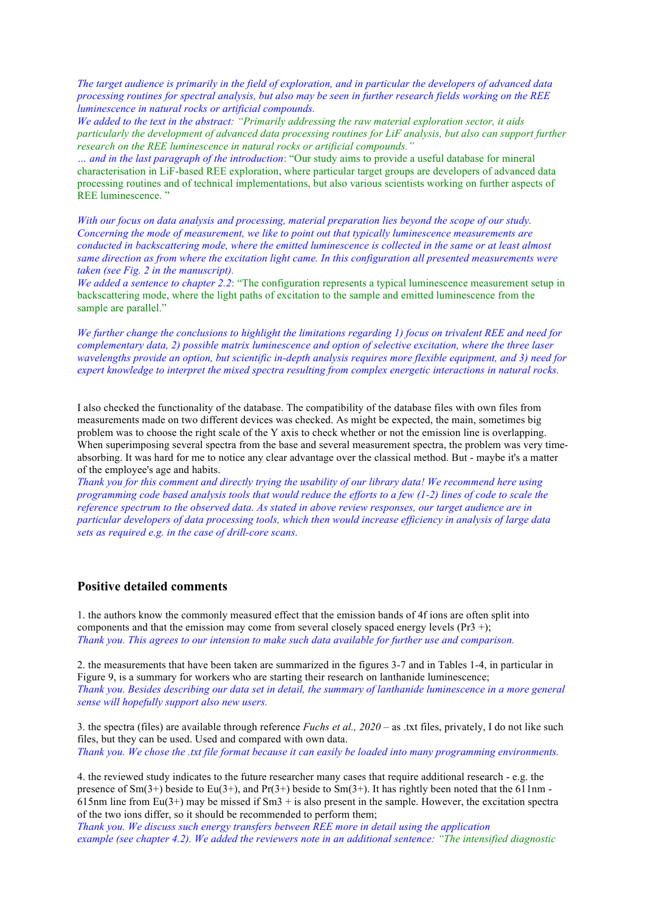*The target audience is primarily in the field of exploration, and in particular the developers of advanced data processing routines for spectral analysis, but also may be seen in further research fields working on the REE luminescence in natural rocks or artificial compounds.*

*We added to the text in the abstract: "Primarily addressing the raw material exploration sector, it aids particularly the development of advanced data processing routines for LiF analysis, but also can support further research on the REE luminescence in natural rocks or artificial compounds."*

*… and in the last paragraph of the introduction*: "Our study aims to provide a useful database for mineral characterisation in LiF-based REE exploration, where particular target groups are developers of advanced data processing routines and of technical implementations, but also various scientists working on further aspects of REE luminescence. "

*With our focus on data analysis and processing, material preparation lies beyond the scope of our study. Concerning the mode of measurement, we like to point out that typically luminescence measurements are conducted in backscattering mode, where the emitted luminescence is collected in the same or at least almost same direction as from where the excitation light came. In this configuration all presented measurements were taken (see Fig. 2 in the manuscript).*

*We added a sentence to chapter 2.2*: "The configuration represents a typical luminescence measurement setup in backscattering mode, where the light paths of excitation to the sample and emitted luminescence from the sample are parallel."

*We further change the conclusions to highlight the limitations regarding 1) focus on trivalent REE and need for complementary data, 2) possible matrix luminescence and option of selective excitation, where the three laser wavelengths provide an option, but scientific in-depth analysis requires more flexible equipment, and 3) need for expert knowledge to interpret the mixed spectra resulting from complex energetic interactions in natural rocks.*

I also checked the functionality of the database. The compatibility of the database files with own files from measurements made on two different devices was checked. As might be expected, the main, sometimes big problem was to choose the right scale of the Y axis to check whether or not the emission line is overlapping. When superimposing several spectra from the base and several measurement spectra, the problem was very timeabsorbing. It was hard for me to notice any clear advantage over the classical method. But - maybe it's a matter of the employee's age and habits.

*Thank you for this comment and directly trying the usability of our library data! We recommend here using programming code based analysis tools that would reduce the efforts to a few (1-2) lines of code to scale the reference spectrum to the observed data. As stated in above review responses, our target audience are in particular developers of data processing tools, which then would increase efficiency in analysis of large data sets as required e.g. in the case of drill-core scans.*

## **Positive detailed comments**

1. the authors know the commonly measured effect that the emission bands of 4f ions are often split into components and that the emission may come from several closely spaced energy levels (Pr3 +); *Thank you. This agrees to our intension to make such data available for further use and comparison.*

2. the measurements that have been taken are summarized in the figures 3-7 and in Tables 1-4, in particular in Figure 9, is a summary for workers who are starting their research on lanthanide luminescence; *Thank you. Besides describing our data set in detail, the summary of lanthanide luminescence in a more general sense will hopefully support also new users.*

3. the spectra (files) are available through reference *Fuchs et al., 2020* – as .txt files, privately, I do not like such files, but they can be used. Used and compared with own data. *Thank you. We chose the .txt file format because it can easily be loaded into many programming environments.*

4. the reviewed study indicates to the future researcher many cases that require additional research - e.g. the presence of  $Sm(3+)$  beside to Eu(3+), and Pr(3+) beside to  $Sm(3+)$ . It has rightly been noted that the 611nm -615nm line from Eu(3+) may be missed if  $Sm3 +$  is also present in the sample. However, the excitation spectra of the two ions differ, so it should be recommended to perform them;

*Thank you. We discuss such energy transfers between REE more in detail using the application example (see chapter 4.2). We added the reviewers note in an additional sentence: "The intensified diagnostic*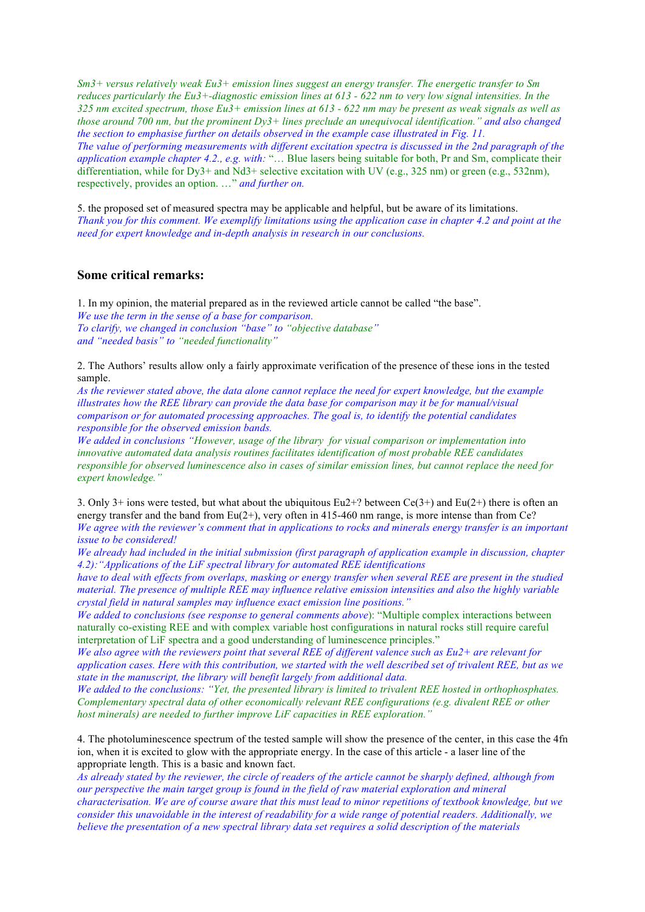*Sm3+ versus relatively weak Eu3+ emission lines suggest an energy transfer. The energetic transfer to Sm reduces particularly the Eu3+-diagnostic emission lines at 613 - 622 nm to very low signal intensities. In the 325 nm excited spectrum, those Eu3+ emission lines at 613 - 622 nm may be present as weak signals as well as those around 700 nm, but the prominent Dy3+ lines preclude an unequivocal identification." and also changed the section to emphasise further on details observed in the example case illustrated in Fig. 11. The value of performing measurements with different excitation spectra is discussed in the 2nd paragraph of the application example chapter 4.2., e.g. with:* "… Blue lasers being suitable for both, Pr and Sm, complicate their differentiation, while for Dy3+ and Nd3+ selective excitation with UV (e.g., 325 nm) or green (e.g., 532nm), respectively, provides an option. …" *and further on.*

5. the proposed set of measured spectra may be applicable and helpful, but be aware of its limitations. *Thank you for this comment. We exemplify limitations using the application case in chapter 4.2 and point at the need for expert knowledge and in-depth analysis in research in our conclusions.*

### **Some critical remarks:**

1. In my opinion, the material prepared as in the reviewed article cannot be called "the base". *We use the term in the sense of a base for comparison. To clarify, we changed in conclusion "base" to "objective database" and "needed basis" to "needed functionality"*

2. The Authors' results allow only a fairly approximate verification of the presence of these ions in the tested sample.

*As the reviewer stated above, the data alone cannot replace the need for expert knowledge, but the example illustrates how the REE library can provide the data base for comparison may it be for manual/visual comparison or for automated processing approaches. The goal is, to identify the potential candidates responsible for the observed emission bands.*

*We added in conclusions "However, usage of the library for visual comparison or implementation into innovative automated data analysis routines facilitates identification of most probable REE candidates responsible for observed luminescence also in cases of similar emission lines, but cannot replace the need for expert knowledge."*

3. Only 3+ ions were tested, but what about the ubiquitous Eu2+? between  $Ce(3+)$  and Eu(2+) there is often an energy transfer and the band from  $Eu(2+)$ , very often in 415-460 nm range, is more intense than from Ce? *We agree with the reviewer's comment that in applications to rocks and minerals energy transfer is an important issue to be considered!*

*We already had included in the initial submission (first paragraph of application example in discussion, chapter 4.2):"Applications of the LiF spectral library for automated REE identifications*

*have to deal with effects from overlaps, masking or energy transfer when several REE are present in the studied material. The presence of multiple REE may influence relative emission intensities and also the highly variable crystal field in natural samples may influence exact emission line positions."*

*We added to conclusions (see response to general comments above*): "Multiple complex interactions between naturally co-existing REE and with complex variable host configurations in natural rocks still require careful interpretation of LiF spectra and a good understanding of luminescence principles."

*We also agree with the reviewers point that several REE of different valence such as Eu2+ are relevant for application cases. Here with this contribution, we started with the well described set of trivalent REE, but as we state in the manuscript, the library will benefit largely from additional data.*

*We added to the conclusions: "Yet, the presented library is limited to trivalent REE hosted in orthophosphates. Complementary spectral data of other economically relevant REE configurations (e.g. divalent REE or other host minerals) are needed to further improve LiF capacities in REE exploration."*

4. The photoluminescence spectrum of the tested sample will show the presence of the center, in this case the 4fn ion, when it is excited to glow with the appropriate energy. In the case of this article - a laser line of the appropriate length. This is a basic and known fact.

*As already stated by the reviewer, the circle of readers of the article cannot be sharply defined, although from our perspective the main target group is found in the field of raw material exploration and mineral characterisation. We are of course aware that this must lead to minor repetitions of textbook knowledge, but we consider this unavoidable in the interest of readability for a wide range of potential readers. Additionally, we believe the presentation of a new spectral library data set requires a solid description of the materials*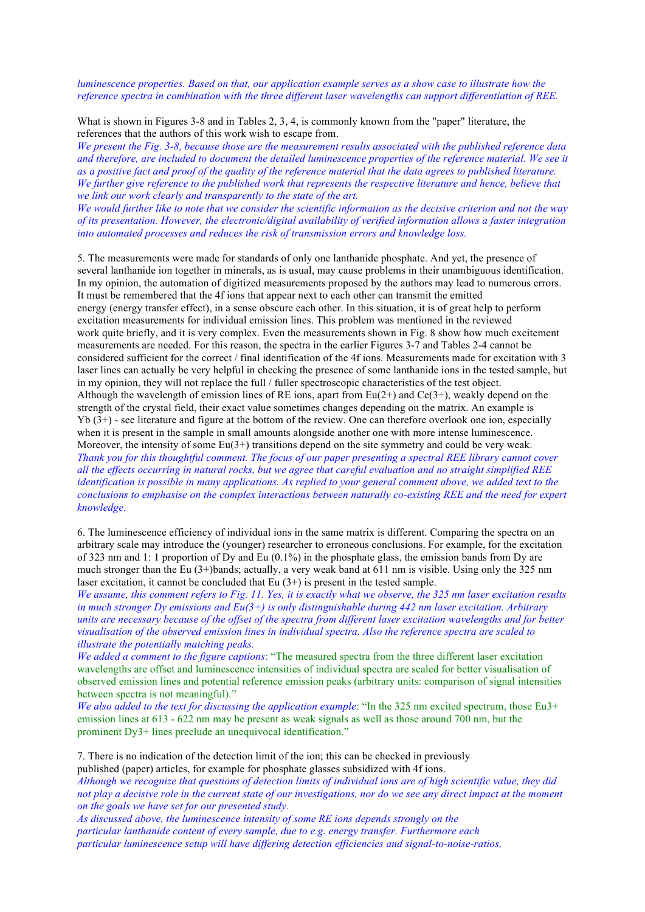*luminescence properties. Based on that, our application example serves as a show case to illustrate how the reference spectra in combination with the three different laser wavelengths can support differentiation of REE.*

What is shown in Figures 3-8 and in Tables 2, 3, 4, is commonly known from the "paper" literature, the references that the authors of this work wish to escape from.

*We present the Fig. 3-8, because those are the measurement results associated with the published reference data and therefore, are included to document the detailed luminescence properties of the reference material. We see it as a positive fact and proof of the quality of the reference material that the data agrees to published literature. We further give reference to the published work that represents the respective literature and hence, believe that we link our work clearly and transparently to the state of the art.*

*We would further like to note that we consider the scientific information as the decisive criterion and not the way of its presentation. However, the electronic/digital availability of verified information allows a faster integration into automated processes and reduces the risk of transmission errors and knowledge loss.*

5. The measurements were made for standards of only one lanthanide phosphate. And yet, the presence of several lanthanide ion together in minerals, as is usual, may cause problems in their unambiguous identification. In my opinion, the automation of digitized measurements proposed by the authors may lead to numerous errors. It must be remembered that the 4f ions that appear next to each other can transmit the emitted energy (energy transfer effect), in a sense obscure each other. In this situation, it is of great help to perform excitation measurements for individual emission lines. This problem was mentioned in the reviewed work quite briefly, and it is very complex. Even the measurements shown in Fig. 8 show how much excitement measurements are needed. For this reason, the spectra in the earlier Figures 3-7 and Tables 2-4 cannot be considered sufficient for the correct / final identification of the 4f ions. Measurements made for excitation with 3 laser lines can actually be very helpful in checking the presence of some lanthanide ions in the tested sample, but in my opinion, they will not replace the full / fuller spectroscopic characteristics of the test object. Although the wavelength of emission lines of RE ions, apart from  $Eu(2+)$  and  $Ce(3+)$ , weakly depend on the strength of the crystal field, their exact value sometimes changes depending on the matrix. An example is Yb (3+) - see literature and figure at the bottom of the review. One can therefore overlook one ion, especially when it is present in the sample in small amounts alongside another one with more intense luminescence. Moreover, the intensity of some  $Eu(3+)$  transitions depend on the site symmetry and could be very weak. *Thank you for this thoughtful comment. The focus of our paper presenting a spectral REE library cannot cover all the effects occurring in natural rocks, but we agree that careful evaluation and no straight simplified REE identification is possible in many applications. As replied to your general comment above, we added text to the conclusions to emphasise on the complex interactions between naturally co-existing REE and the need for expert knowledge.*

6. The luminescence efficiency of individual ions in the same matrix is different. Comparing the spectra on an arbitrary scale may introduce the (younger) researcher to erroneous conclusions. For example, for the excitation of 323 nm and 1: 1 proportion of Dy and Eu (0.1%) in the phosphate glass, the emission bands from Dy are much stronger than the Eu (3+)bands; actually, a very weak band at 611 nm is visible. Using only the 325 nm laser excitation, it cannot be concluded that Eu (3+) is present in the tested sample.

*We assume, this comment refers to Fig. 11. Yes, it is exactly what we observe, the 325 nm laser excitation results in much stronger Dy emissions and Eu(3+) is only distinguishable during 442 nm laser excitation. Arbitrary units are necessary because of the offset of the spectra from different laser excitation wavelengths and for better visualisation of the observed emission lines in individual spectra. Also the reference spectra are scaled to illustrate the potentially matching peaks.*

*We added a comment to the figure captions*: "The measured spectra from the three different laser excitation wavelengths are offset and luminescence intensities of individual spectra are scaled for better visualisation of observed emission lines and potential reference emission peaks (arbitrary units: comparison of signal intensities between spectra is not meaningful)."

*We also added to the text for discussing the application example*: "In the 325 nm excited spectrum, those Eu3+ emission lines at 613 - 622 nm may be present as weak signals as well as those around 700 nm, but the prominent Dy3+ lines preclude an unequivocal identification."

7. There is no indication of the detection limit of the ion; this can be checked in previously published (paper) articles, for example for phosphate glasses subsidized with 4f ions.

*Although we recognize that questions of detection limits of individual ions are of high scientific value, they did not play a decisive role in the current state of our investigations, nor do we see any direct impact at the moment on the goals we have set for our presented study.*

*As discussed above, the luminescence intensity of some RE ions depends strongly on the particular lanthanide content of every sample, due to e.g. energy transfer. Furthermore each particular luminescence setup will have differing detection efficiencies and signal-to-noise-ratios,*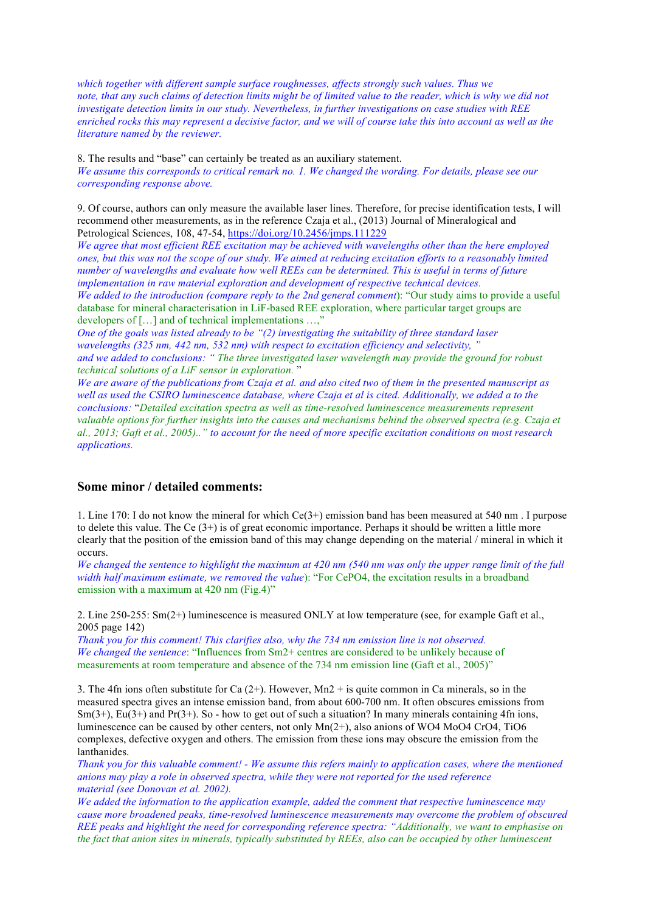*which together with different sample surface roughnesses, affects strongly such values. Thus we note, that any such claims of detection limits might be of limited value to the reader, which is why we did not investigate detection limits in our study. Nevertheless, in further investigations on case studies with REE enriched rocks this may represent a decisive factor, and we will of course take this into account as well as the literature named by the reviewer.*

8. The results and "base" can certainly be treated as an auxiliary statement. *We assume this corresponds to critical remark no. 1. We changed the wording. For details, please see our corresponding response above.*

9. Of course, authors can only measure the available laser lines. Therefore, for precise identification tests, I will recommend other measurements, as in the reference Czaja et al., (2013) Journal of Mineralogical and Petrological Sciences, 108, 47-54, https://doi.org/10.2456/jmps.111229

*We agree that most efficient REE excitation may be achieved with wavelengths other than the here employed ones, but this was not the scope of our study. We aimed at reducing excitation efforts to a reasonably limited number of wavelengths and evaluate how well REEs can be determined. This is useful in terms of future implementation in raw material exploration and development of respective technical devices. We added to the introduction (compare reply to the 2nd general comment*): "Our study aims to provide a useful database for mineral characterisation in LiF-based REE exploration, where particular target groups are developers of [...] and of technical implementations ...,"

*One of the goals was listed already to be "(2) investigating the suitability of three standard laser wavelengths (325 nm, 442 nm, 532 nm) with respect to excitation efficiency and selectivity, " and we added to conclusions: " The three investigated laser wavelength may provide the ground for robust technical solutions of a LiF sensor in exploration.* "

*We are aware of the publications from Czaja et al. and also cited two of them in the presented manuscript as well as used the CSIRO luminescence database, where Czaja et al is cited. Additionally, we added a to the conclusions:* "*Detailed excitation spectra as well as time-resolved luminescence measurements represent valuable options for further insights into the causes and mechanisms behind the observed spectra (e.g. Czaja et al., 2013; Gaft et al., 2005).." to account for the need of more specific excitation conditions on most research applications.*

### **Some minor / detailed comments:**

1. Line 170: I do not know the mineral for which Ce(3+) emission band has been measured at 540 nm . I purpose to delete this value. The  $Ce(3+)$  is of great economic importance. Perhaps it should be written a little more clearly that the position of the emission band of this may change depending on the material / mineral in which it occurs.

*We changed the sentence to highlight the maximum at 420 nm (540 nm was only the upper range limit of the full width half maximum estimate, we removed the value*): "For CePO4, the excitation results in a broadband emission with a maximum at 420 nm (Fig.4)"

2. Line 250-255: Sm(2+) luminescence is measured ONLY at low temperature (see, for example Gaft et al., 2005 page 142)

*Thank you for this comment! This clarifies also, why the 734 nm emission line is not observed. We changed the sentence*: "Influences from Sm2+ centres are considered to be unlikely because of measurements at room temperature and absence of the 734 nm emission line (Gaft et al., 2005)"

3. The 4fn ions often substitute for Ca  $(2+)$ . However, Mn2 + is quite common in Ca minerals, so in the measured spectra gives an intense emission band, from about 600-700 nm. It often obscures emissions from  $Sm(3+)$ , Eu(3+) and Pr(3+). So - how to get out of such a situation? In many minerals containing 4fn ions, luminescence can be caused by other centers, not only Mn(2+), also anions of WO4 MoO4 CrO4, TiO6 complexes, defective oxygen and others. The emission from these ions may obscure the emission from the lanthanides.

*Thank you for this valuable comment! - We assume this refers mainly to application cases, where the mentioned anions may play a role in observed spectra, while they were not reported for the used reference material (see Donovan et al. 2002).*

*We added the information to the application example, added the comment that respective luminescence may cause more broadened peaks, time-resolved luminescence measurements may overcome the problem of obscured REE peaks and highlight the need for corresponding reference spectra: "Additionally, we want to emphasise on the fact that anion sites in minerals, typically substituted by REEs, also can be occupied by other luminescent*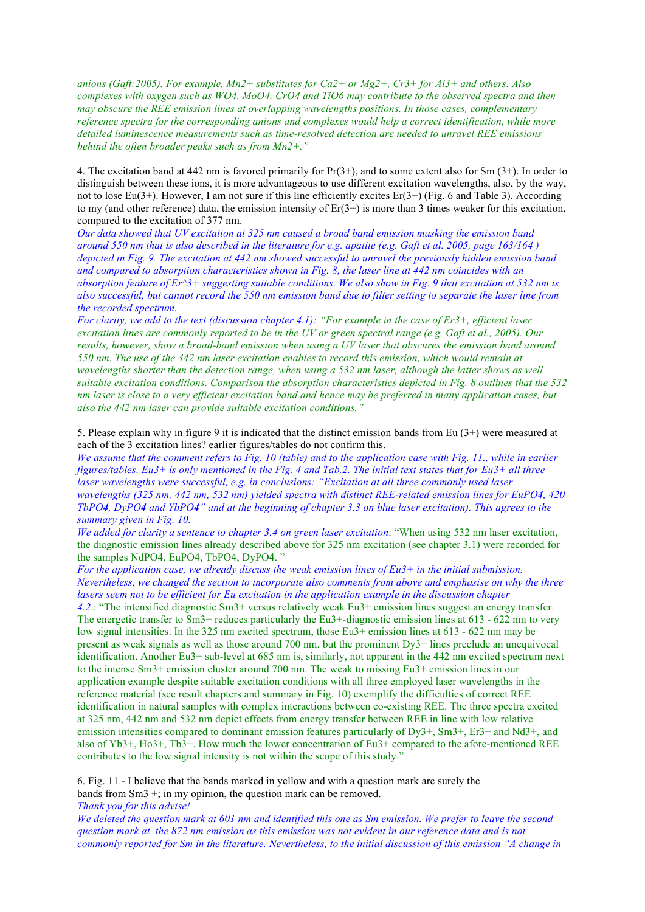*anions (Gaft:2005). For example, Mn2+ substitutes for Ca2+ or Mg2+, Cr3+ for Al3+ and others. Also complexes with oxygen such as WO4, MoO4, CrO4 and TiO6 may contribute to the observed spectra and then may obscure the REE emission lines at overlapping wavelengths positions. In those cases, complementary reference spectra for the corresponding anions and complexes would help a correct identification, while more detailed luminescence measurements such as time-resolved detection are needed to unravel REE emissions behind the often broader peaks such as from Mn2+."*

4. The excitation band at 442 nm is favored primarily for Pr(3+), and to some extent also for Sm (3+). In order to distinguish between these ions, it is more advantageous to use different excitation wavelengths, also, by the way, not to lose Eu(3+). However, I am not sure if this line efficiently excites Er(3+) (Fig. 6 and Table 3). According to my (and other reference) data, the emission intensity of  $Er(3+)$  is more than 3 times weaker for this excitation, compared to the excitation of 377 nm.

*Our data showed that UV excitation at 325 nm caused a broad band emission masking the emission band around 550 nm that is also described in the literature for e.g. apatite (e.g. Gaft et al. 2005, page 163/164 ) depicted in Fig. 9. The excitation at 442 nm showed successful to unravel the previously hidden emission band and compared to absorption characteristics shown in Fig. 8, the laser line at 442 nm coincides with an absorption feature of Er^3+ suggesting suitable conditions. We also show in Fig. 9 that excitation at 532 nm is also successful, but cannot record the 550 nm emission band due to filter setting to separate the laser line from the recorded spectrum.*

*For clarity, we add to the text (discussion chapter 4.1): "For example in the case of Er3+, efficient laser excitation lines are commonly reported to be in the UV or green spectral range (e.g. Gaft et al., 2005). Our results, however, show a broad-band emission when using a UV laser that obscures the emission band around 550 nm. The use of the 442 nm laser excitation enables to record this emission, which would remain at wavelengths shorter than the detection range, when using a 532 nm laser, although the latter shows as well suitable excitation conditions. Comparison the absorption characteristics depicted in Fig. 8 outlines that the 532 nm laser is close to a very efficient excitation band and hence may be preferred in many application cases, but also the 442 nm laser can provide suitable excitation conditions."*

5. Please explain why in figure 9 it is indicated that the distinct emission bands from Eu (3+) were measured at each of the 3 excitation lines? earlier figures/tables do not confirm this.

*We assume that the comment refers to Fig. 10 (table) and to the application case with Fig. 11., while in earlier figures/tables, Eu3+ is only mentioned in the Fig. 4 and Tab.2. The initial text states that for Eu3+ all three laser wavelengths were successful, e.g. in conclusions: "Excitation at all three commonly used laser wavelengths (325 nm, 442 nm, 532 nm) yielded spectra with distinct REE-related emission lines for EuPO4, 420 TbPO4, DyPO4 and YbPO4" and at the beginning of chapter 3.3 on blue laser excitation). This agrees to the summary given in Fig. 10.*

*We added for clarity a sentence to chapter 3.4 on green laser excitation*: "When using 532 nm laser excitation, the diagnostic emission lines already described above for 325 nm excitation (see chapter 3.1) were recorded for the samples NdPO4, EuPO4, TbPO4, DyPO4. "

*For the application case, we already discuss the weak emission lines of Eu3+ in the initial submission. Nevertheless, we changed the section to incorporate also comments from above and emphasise on why the three lasers seem not to be efficient for Eu excitation in the application example in the discussion chapter* 

*4.2*.: "The intensified diagnostic Sm3+ versus relatively weak Eu3+ emission lines suggest an energy transfer. The energetic transfer to Sm3+ reduces particularly the Eu3+-diagnostic emission lines at 613 - 622 nm to very low signal intensities. In the 325 nm excited spectrum, those Eu3+ emission lines at 613 - 622 nm may be present as weak signals as well as those around 700 nm, but the prominent Dy3+ lines preclude an unequivocal identification. Another Eu3+ sub-level at 685 nm is, similarly, not apparent in the 442 nm excited spectrum next to the intense Sm3+ emission cluster around 700 nm. The weak to missing Eu3+ emission lines in our application example despite suitable excitation conditions with all three employed laser wavelengths in the reference material (see result chapters and summary in Fig. 10) exemplify the difficulties of correct REE identification in natural samples with complex interactions between co-existing REE. The three spectra excited at 325 nm, 442 nm and 532 nm depict effects from energy transfer between REE in line with low relative emission intensities compared to dominant emission features particularly of Dy3+, Sm3+, Er3+ and Nd3+, and also of Yb3+, Ho3+, Tb3+. How much the lower concentration of Eu3+ compared to the afore-mentioned REE contributes to the low signal intensity is not within the scope of this study."

6. Fig. 11 - I believe that the bands marked in yellow and with a question mark are surely the bands from Sm3 +; in my opinion, the question mark can be removed.

*Thank you for this advise!*

*We deleted the question mark at 601 nm and identified this one as Sm emission. We prefer to leave the second question mark at the 872 nm emission as this emission was not evident in our reference data and is not commonly reported for Sm in the literature. Nevertheless, to the initial discussion of this emission "A change in*